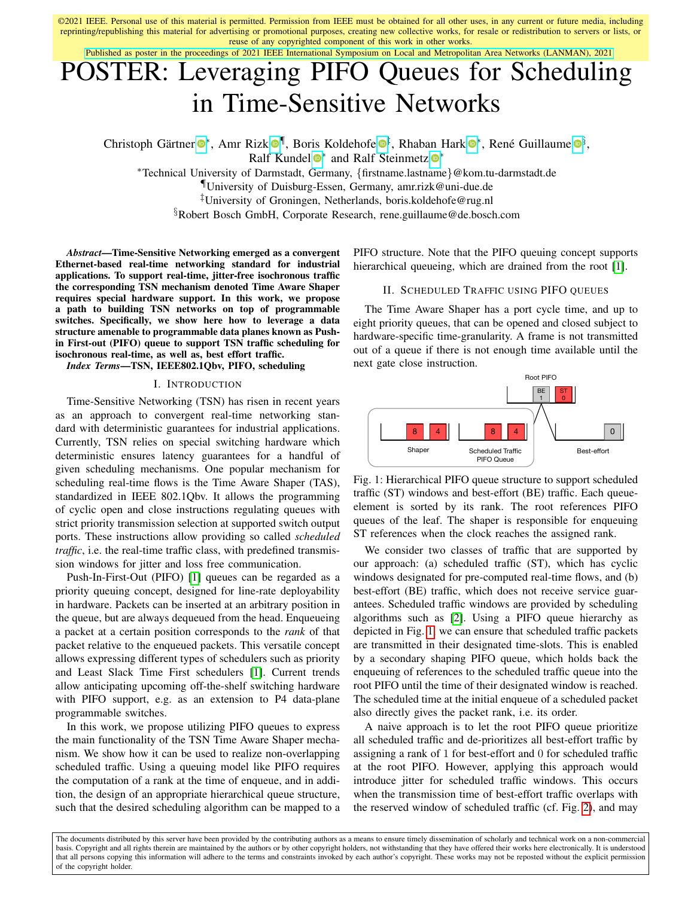©2021 IEEE. Personal use of this material is permitted. Permission from IEEE must be obtained for all other uses, in any current or future media, including reprinting/republishing this material for advertising or promotional purposes, creating new collective works, for resale or redistribution to servers or lists, or reuse of any copyrighted component of this work in other works.

[Published as poster in the proceedings of 2021 IEEE International Symposium on Local and Metropolitan Area Networks \(LANMAN\), 2021](https://ieeexplore.ieee.org/document/9478796)

# POSTER: Leveraging PIFO Queues for Scheduling in Time-Sensitive Networks

Christoph Gärtner <sup>®\*</sup>, Amr Rizk <sup>®[¶](https://orcid.org/0000-0002-9385-7729)</sup>, Boris Koldehofe <sup>®[‡](https://orcid.org/0000-0002-1588-2056)</sup>, Rhaban Hark <sup>®\*</sup>, René Guillaume <sup>®[§](https://orcid.org/0000-0002-3280-1203)</sup>, Ralf Kundel <sup>®</sup>\* and Ralf Steinmetz <sup>®</sup>\*

<sup>∗</sup>Technical University of Darmstadt, Germany, {firstname.lastname}@kom.tu-darmstadt.de

¶University of Duisburg-Essen, Germany, amr.rizk@uni-due.de

‡University of Groningen, Netherlands, boris.koldehofe@rug.nl

§Robert Bosch GmbH, Corporate Research, rene.guillaume@de.bosch.com

*Abstract*—Time-Sensitive Networking emerged as a convergent Ethernet-based real-time networking standard for industrial applications. To support real-time, jitter-free isochronous traffic the corresponding TSN mechanism denoted Time Aware Shaper requires special hardware support. In this work, we propose a path to building TSN networks on top of programmable switches. Specifically, we show here how to leverage a data structure amenable to programmable data planes known as Pushin First-out (PIFO) queue to support TSN traffic scheduling for isochronous real-time, as well as, best effort traffic.

*Index Terms*—TSN, IEEE802.1Qbv, PIFO, scheduling

### I. INTRODUCTION

Time-Sensitive Networking (TSN) has risen in recent years as an approach to convergent real-time networking standard with deterministic guarantees for industrial applications. Currently, TSN relies on special switching hardware which deterministic ensures latency guarantees for a handful of given scheduling mechanisms. One popular mechanism for scheduling real-time flows is the Time Aware Shaper (TAS), standardized in IEEE 802.1Qbv. It allows the programming of cyclic open and close instructions regulating queues with strict priority transmission selection at supported switch output ports. These instructions allow providing so called *scheduled traffic*, i.e. the real-time traffic class, with predefined transmission windows for jitter and loss free communication.

Push-In-First-Out (PIFO) [\[1\]](#page-1-0) queues can be regarded as a priority queuing concept, designed for line-rate deployability in hardware. Packets can be inserted at an arbitrary position in the queue, but are always dequeued from the head. Enqueueing a packet at a certain position corresponds to the *rank* of that packet relative to the enqueued packets. This versatile concept allows expressing different types of schedulers such as priority and Least Slack Time First schedulers [\[1\]](#page-1-0). Current trends allow anticipating upcoming off-the-shelf switching hardware with PIFO support, e.g. as an extension to P4 data-plane programmable switches.

In this work, we propose utilizing PIFO queues to express the main functionality of the TSN Time Aware Shaper mechanism. We show how it can be used to realize non-overlapping scheduled traffic. Using a queuing model like PIFO requires the computation of a rank at the time of enqueue, and in addition, the design of an appropriate hierarchical queue structure, such that the desired scheduling algorithm can be mapped to a

PIFO structure. Note that the PIFO queuing concept supports hierarchical queueing, which are drained from the root [\[1\]](#page-1-0).

#### II. SCHEDULED TRAFFIC USING PIFO QUEUES

The Time Aware Shaper has a port cycle time, and up to eight priority queues, that can be opened and closed subject to hardware-specific time-granularity. A frame is not transmitted out of a queue if there is not enough time available until the next gate close instruction.

<span id="page-0-0"></span>

Fig. 1: Hierarchical PIFO queue structure to support scheduled traffic (ST) windows and best-effort (BE) traffic. Each queueelement is sorted by its rank. The root references PIFO queues of the leaf. The shaper is responsible for enqueuing ST references when the clock reaches the assigned rank.

We consider two classes of traffic that are supported by our approach: (a) scheduled traffic (ST), which has cyclic windows designated for pre-computed real-time flows, and (b) best-effort (BE) traffic, which does not receive service guarantees. Scheduled traffic windows are provided by scheduling algorithms such as [\[2\]](#page-1-1). Using a PIFO queue hierarchy as depicted in Fig. [1,](#page-0-0) we can ensure that scheduled traffic packets are transmitted in their designated time-slots. This is enabled by a secondary shaping PIFO queue, which holds back the enqueuing of references to the scheduled traffic queue into the root PIFO until the time of their designated window is reached. The scheduled time at the initial enqueue of a scheduled packet also directly gives the packet rank, i.e. its order.

A naive approach is to let the root PIFO queue prioritize all scheduled traffic and de-prioritizes all best-effort traffic by assigning a rank of 1 for best-effort and 0 for scheduled traffic at the root PIFO. However, applying this approach would introduce jitter for scheduled traffic windows. This occurs when the transmission time of best-effort traffic overlaps with the reserved window of scheduled traffic (cf. Fig. [2\)](#page-1-2), and may

The documents distributed by this server have been provided by the contributing authors as a means to ensure timely dissemination of scholarly and technical work on a non-commercial basis. Copyright and all rights therein are maintained by the authors or by other copyright holders, not withstanding that they have offered their works here electronically. It is understood that all persons copying this information will adhere to the terms and constraints invoked by each author's copyright. These works may not be reposted without the explicit permission of the copyright holder.